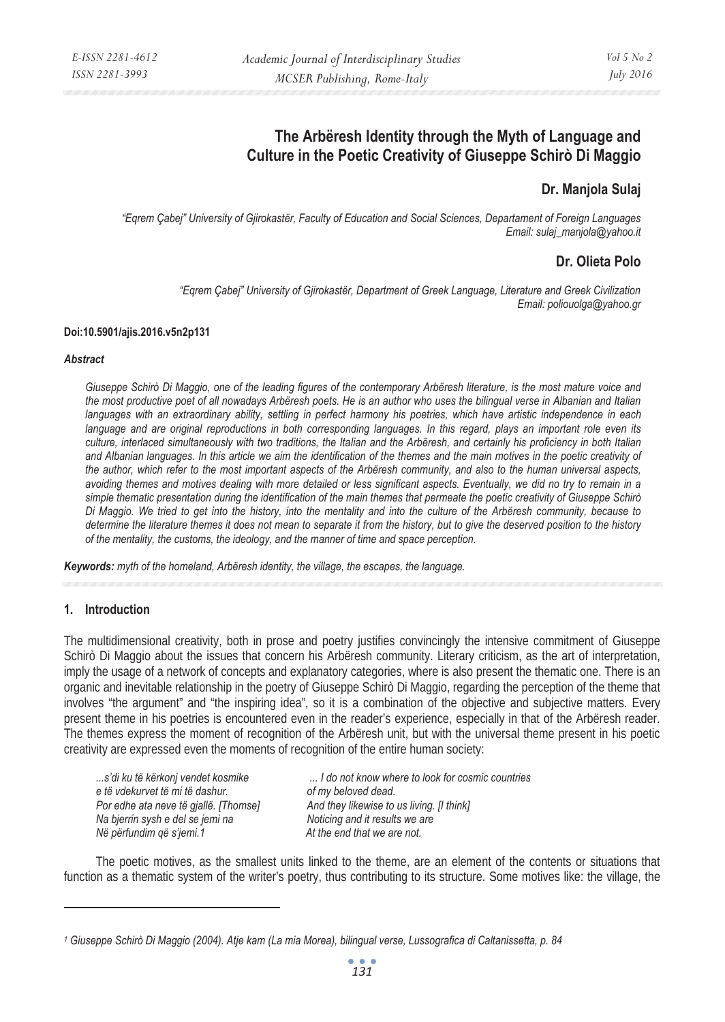# **The Arbëresh Identity through the Myth of Language and Culture in the Poetic Creativity of Giuseppe Schirò Di Maggio**

# **Dr. Manjola Sulaj**

*"Eqrem Çabej" University of Gjirokastër, Faculty of Education and Social Sciences, Departament of Foreign Languages Email: sulaj\_manjola@yahoo.it* 

## **Dr. Olieta Polo**

*"Eqrem Çabej" University of Gjirokastër, Department of Greek Language, Literature and Greek Civilization Email: poliouolga@yahoo.gr* 

#### **Doi:10.5901/ajis.2016.v5n2p131**

#### *Abstract*

*Giuseppe Schirò Di Maggio, one of the leading figures of the contemporary Arbëresh literature, is the most mature voice and the most productive poet of all nowadays Arbëresh poets. He is an author who uses the bilingual verse in Albanian and Italian languages with an extraordinary ability, settling in perfect harmony his poetries, which have artistic independence in each*  language and are original reproductions in both corresponding languages. In this regard, plays an important role even its *culture, interlaced simultaneously with two traditions, the Italian and the Arbëresh, and certainly his proficiency in both Italian*  and Albanian languages. In this article we aim the identification of the themes and the main motives in the poetic creativity of *the author, which refer to the most important aspects of the Arbëresh community, and also to the human universal aspects, avoiding themes and motives dealing with more detailed or less significant aspects. Eventually, we did no try to remain in a simple thematic presentation during the identification of the main themes that permeate the poetic creativity of Giuseppe Schirò Di Maggio. We tried to get into the history, into the mentality and into the culture of the Arbëresh community, because to determine the literature themes it does not mean to separate it from the history, but to give the deserved position to the history of the mentality, the customs, the ideology, and the manner of time and space perception.* 

*Keywords: myth of the homeland, Arbëresh identity, the village, the escapes, the language.*

#### **1. Introduction**

 $\overline{a}$ 

The multidimensional creativity, both in prose and poetry justifies convincingly the intensive commitment of Giuseppe Schirò Di Maggio about the issues that concern his Arbëresh community. Literary criticism, as the art of interpretation, imply the usage of a network of concepts and explanatory categories, where is also present the thematic one. There is an organic and inevitable relationship in the poetry of Giuseppe Schirò Di Maggio, regarding the perception of the theme that involves "the argument" and "the inspiring idea", so it is a combination of the objective and subjective matters. Every present theme in his poetries is encountered even in the reader's experience, especially in that of the Arbëresh reader. The themes express the moment of recognition of the Arbëresh unit, but with the universal theme present in his poetic creativity are expressed even the moments of recognition of the entire human society:

e të vdekurvet të mi të dashur.<br>
Por edhe ata neve të gjallë. [Thomse] And they likewise to *Na bjerrin sysh e del se jemi na Noticing and it results we are Në përfundim që s'jemi.1 At the end that we are not.* 

*...s'di ku të kërkonj vendet kosmike ... I do not know where to look for cosmic countries*  And they likewise to us living. [I think]

The poetic motives, as the smallest units linked to the theme, are an element of the contents or situations that function as a thematic system of the writer's poetry, thus contributing to its structure. Some motives like: the village, the

*<sup>1</sup> Giuseppe Schirò Di Maggio (2004). Atje kam (La mia Morea), bilingual verse, Lussografica di Caltanissetta, p. 84*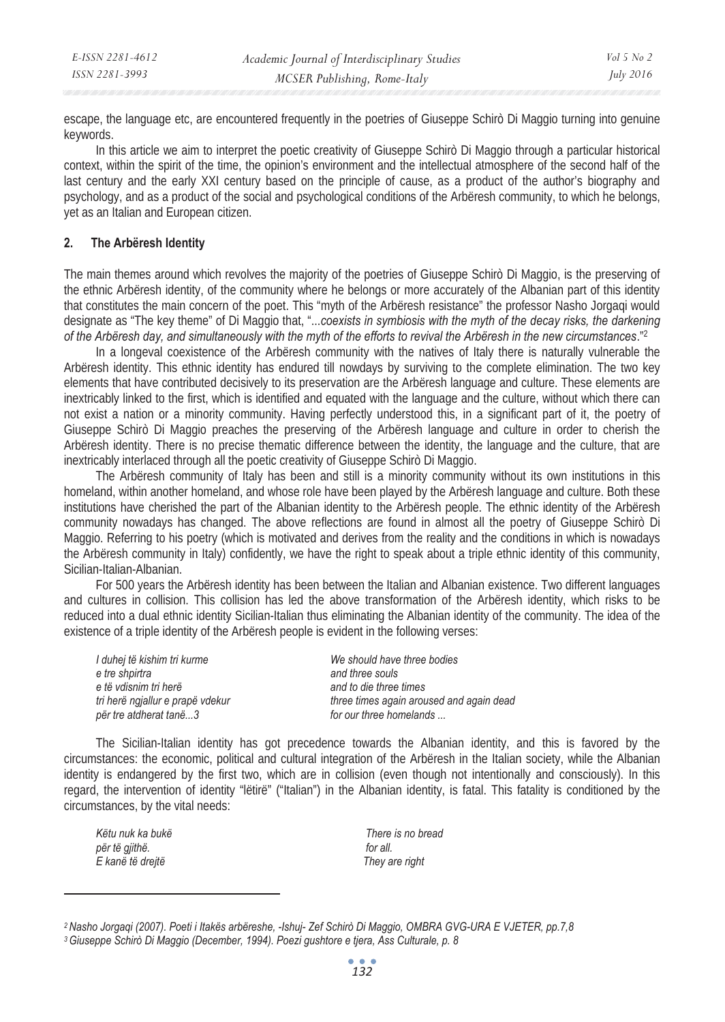| E-ISSN 2281-4612 | Academic Journal of Interdisciplinary Studies | $Vol_5$ No 2 |
|------------------|-----------------------------------------------|--------------|
| ISSN 2281-3993   | MCSER Publishing, Rome-Italy                  | July 2016    |

escape, the language etc, are encountered frequently in the poetries of Giuseppe Schirò Di Maggio turning into genuine keywords.

In this article we aim to interpret the poetic creativity of Giuseppe Schirò Di Maggio through a particular historical context, within the spirit of the time, the opinion's environment and the intellectual atmosphere of the second half of the last century and the early XXI century based on the principle of cause, as a product of the author's biography and psychology, and as a product of the social and psychological conditions of the Arbëresh community, to which he belongs, yet as an Italian and European citizen.

### **2. The Arbëresh Identity**

The main themes around which revolves the majority of the poetries of Giuseppe Schirò Di Maggio, is the preserving of the ethnic Arbëresh identity, of the community where he belongs or more accurately of the Albanian part of this identity that constitutes the main concern of the poet. This "myth of the Arbëresh resistance" the professor Nasho Jorgaqi would designate as "The key theme" of Di Maggio that, "...*coexists in symbiosis with the myth of the decay risks, the darkening of the Arbëresh day, and simultaneously with the myth of the efforts to revival the Arbëresh in the new circumstances*."2

In a longeval coexistence of the Arbëresh community with the natives of Italy there is naturally vulnerable the Arbëresh identity. This ethnic identity has endured till nowdays by surviving to the complete elimination. The two key elements that have contributed decisively to its preservation are the Arbëresh language and culture. These elements are inextricably linked to the first, which is identified and equated with the language and the culture, without which there can not exist a nation or a minority community. Having perfectly understood this, in a significant part of it, the poetry of Giuseppe Schirò Di Maggio preaches the preserving of the Arbëresh language and culture in order to cherish the Arbëresh identity. There is no precise thematic difference between the identity, the language and the culture, that are inextricably interlaced through all the poetic creativity of Giuseppe Schirò Di Maggio.

The Arbëresh community of Italy has been and still is a minority community without its own institutions in this homeland, within another homeland, and whose role have been played by the Arbëresh language and culture. Both these institutions have cherished the part of the Albanian identity to the Arbëresh people. The ethnic identity of the Arbëresh community nowadays has changed. The above reflections are found in almost all the poetry of Giuseppe Schirò Di Maggio. Referring to his poetry (which is motivated and derives from the reality and the conditions in which is nowadays the Arbëresh community in Italy) confidently, we have the right to speak about a triple ethnic identity of this community, Sicilian-Italian-Albanian.

For 500 years the Arbëresh identity has been between the Italian and Albanian existence. Two different languages and cultures in collision. This collision has led the above transformation of the Arbëresh identity, which risks to be reduced into a dual ethnic identity Sicilian-Italian thus eliminating the Albanian identity of the community. The idea of the existence of a triple identity of the Arbëresh people is evident in the following verses:

*I duhej të kishim tri kurme We should have three bodies*   $e$  tre shpirtra e të vdisnim tri herë **and to die three times** and to die three times për tre atdherat tanë...3 for our three homelands ...

*tri herë ngjallur e prapë vdekur three times again aroused and again dead* 

The Sicilian-Italian identity has got precedence towards the Albanian identity, and this is favored by the circumstances: the economic, political and cultural integration of the Arbëresh in the Italian society, while the Albanian identity is endangered by the first two, which are in collision (even though not intentionally and consciously). In this regard, the intervention of identity "lëtirë" ("Italian") in the Albanian identity, is fatal. This fatality is conditioned by the circumstances, by the vital needs:

*Këtu nuk ka bukë There is no bread për të gjithë. for all. E kanë të drejtë They are right* 

 $\overline{a}$ 

*<sup>2</sup> Nasho Jorgaqi (2007). Poeti i Itakës arbëreshe, -Ishuj- Zef Schirò Di Maggio, OMBRA GVG-URA E VJETER, pp.7,8 3 Giuseppe Schirò Di Maggio (December, 1994). Poezi gushtore e tjera, Ass Culturale, p. 8*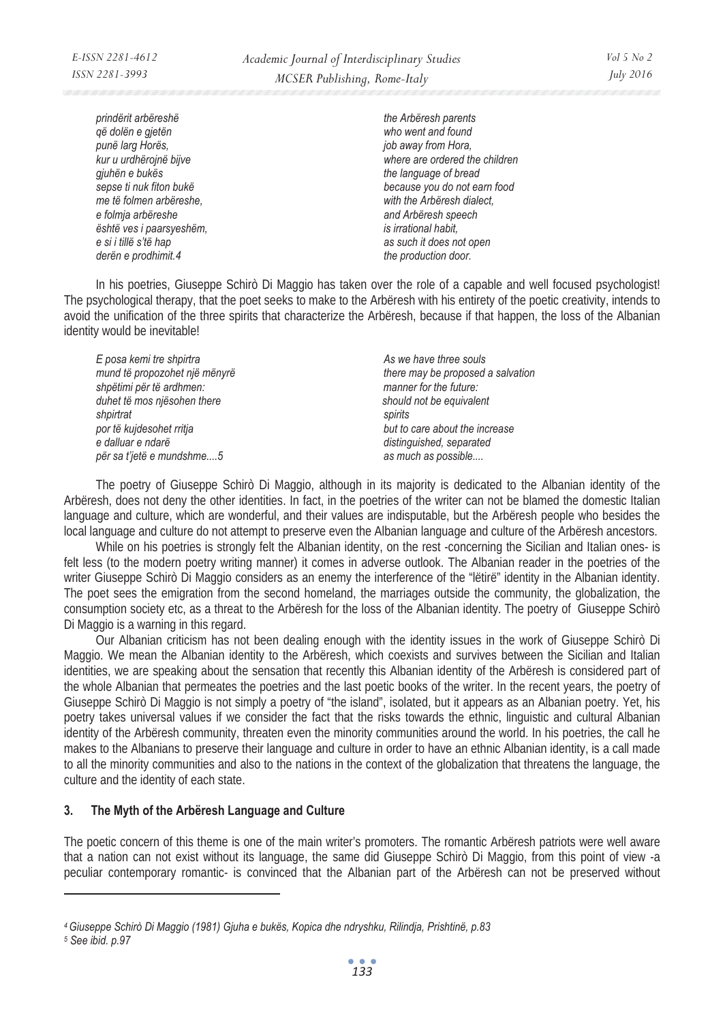*prindërit arbëreshë the Arbëresh parents që dolën e gjetën who went and found punë larg Horës, job away from Hora, gjuhën e bukës the language of bread me të folmen arbëreshe, with the Arbëresh dialect, e folmja arbëreshe and Arbëresh speech është ves i paarsyeshëm, is irrational habit, e si i tillë s'të hap as such it does not open*  derën e prodhimit.4 the production door.

*kur u urdhërojnë bijve where are ordered the children sepse ti nuk fiton bukë because you do not earn food* 

In his poetries, Giuseppe Schirò Di Maggio has taken over the role of a capable and well focused psychologist! The psychological therapy, that the poet seeks to make to the Arbëresh with his entirety of the poetic creativity, intends to avoid the unification of the three spirits that characterize the Arbëresh, because if that happen, the loss of the Albanian identity would be inevitable!

*E* posa kemi tre shpirtra **As we have three souls** As we have three souls *shpëtimi për të ardhmen: manner for the future:*  duhet të mos njësohen there *shpirtrat spirits por të kujdesohet rritja but to care about the increase e dalluar e ndarë distinguished, separated për sa t'jetë e mundshme....5 as much as possible....* 

mund të propozohet një mënyrë **there may be proposed a salvation** *mund të proposed a salvation* 

The poetry of Giuseppe Schirò Di Maggio, although in its majority is dedicated to the Albanian identity of the Arbëresh, does not deny the other identities. In fact, in the poetries of the writer can not be blamed the domestic Italian language and culture, which are wonderful, and their values are indisputable, but the Arbëresh people who besides the local language and culture do not attempt to preserve even the Albanian language and culture of the Arbëresh ancestors.

While on his poetries is strongly felt the Albanian identity, on the rest -concerning the Sicilian and Italian ones- is felt less (to the modern poetry writing manner) it comes in adverse outlook. The Albanian reader in the poetries of the writer Giuseppe Schirò Di Maggio considers as an enemy the interference of the "lëtirë" identity in the Albanian identity. The poet sees the emigration from the second homeland, the marriages outside the community, the globalization, the consumption society etc, as a threat to the Arbëresh for the loss of the Albanian identity. The poetry of Giuseppe Schirò Di Maggio is a warning in this regard.

Our Albanian criticism has not been dealing enough with the identity issues in the work of Giuseppe Schirò Di Maggio. We mean the Albanian identity to the Arbëresh, which coexists and survives between the Sicilian and Italian identities, we are speaking about the sensation that recently this Albanian identity of the Arbëresh is considered part of the whole Albanian that permeates the poetries and the last poetic books of the writer. In the recent years, the poetry of Giuseppe Schirò Di Maggio is not simply a poetry of "the island", isolated, but it appears as an Albanian poetry. Yet, his poetry takes universal values if we consider the fact that the risks towards the ethnic, linguistic and cultural Albanian identity of the Arbëresh community, threaten even the minority communities around the world. In his poetries, the call he makes to the Albanians to preserve their language and culture in order to have an ethnic Albanian identity, is a call made to all the minority communities and also to the nations in the context of the globalization that threatens the language, the culture and the identity of each state.

### **3. The Myth of the Arbëresh Language and Culture**

The poetic concern of this theme is one of the main writer's promoters. The romantic Arbëresh patriots were well aware that a nation can not exist without its language, the same did Giuseppe Schirò Di Maggio, from this point of view -a peculiar contemporary romantic- is convinced that the Albanian part of the Arbëresh can not be preserved without

 $\overline{a}$ 

*<sup>4</sup> Giuseppe Schirò Di Maggio (1981) Gjuha e bukës, Kopica dhe ndryshku, Rilindja, Prishtinë, p.83* 

*<sup>5</sup> See ibid. p.97*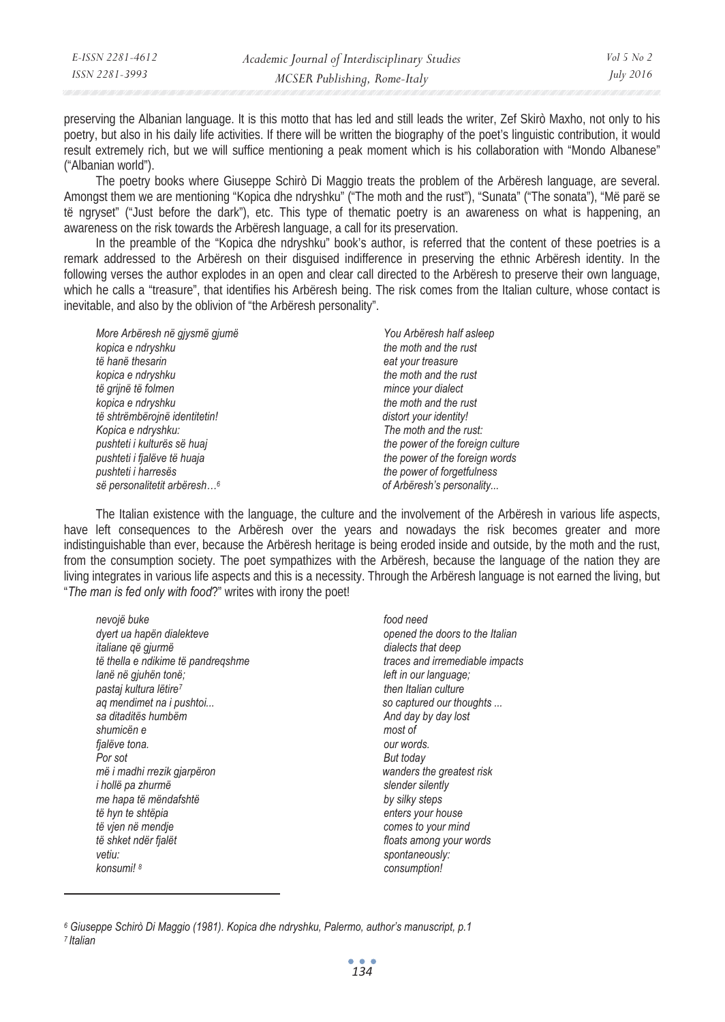|                              | E-ISSN 2281-4612 | Academic Journal of Interdisciplinary Studies | $Vol_5$ No 2     |
|------------------------------|------------------|-----------------------------------------------|------------------|
| MCSER Publishing, Rome-Italy | ISSN 2281-3993   |                                               | <i>July 2016</i> |

preserving the Albanian language. It is this motto that has led and still leads the writer, Zef Skirò Maxho, not only to his poetry, but also in his daily life activities. If there will be written the biography of the poet's linguistic contribution, it would result extremely rich, but we will suffice mentioning a peak moment which is his collaboration with "Mondo Albanese" ("Albanian world").

The poetry books where Giuseppe Schirò Di Maggio treats the problem of the Arbëresh language, are several. Amongst them we are mentioning "Kopica dhe ndryshku" ("The moth and the rust"), "Sunata" ("The sonata"), "Më parë se të ngryset" ("Just before the dark"), etc. This type of thematic poetry is an awareness on what is happening, an awareness on the risk towards the Arbëresh language, a call for its preservation.

In the preamble of the "Kopica dhe ndryshku" book's author, is referred that the content of these poetries is a remark addressed to the Arbëresh on their disguised indifference in preserving the ethnic Arbëresh identity. In the following verses the author explodes in an open and clear call directed to the Arbëresh to preserve their own language, which he calls a "treasure", that identifies his Arbëresh being. The risk comes from the Italian culture, whose contact is inevitable, and also by the oblivion of "the Arbëresh personality".

| More Arbëresh në qiysmë qjumë           | You Arbëresh half asleep         |  |
|-----------------------------------------|----------------------------------|--|
| kopica e ndryshku                       | the moth and the rust            |  |
| të hanë thesarin                        | eat your treasure                |  |
| kopica e ndryshku                       | the moth and the rust            |  |
| të qrijnë të folmen                     | mince your dialect               |  |
| kopica e ndryshku                       | the moth and the rust            |  |
| të shtrëmbërojnë identitetin!           | distort your identity!           |  |
| Kopica e ndryshku:                      | The moth and the rust:           |  |
| pushteti i kulturës së huaj             | the power of the foreign culture |  |
| pushteti i fjalëve të huaja             | the power of the foreign words   |  |
| pushteti i harresës                     | the power of forgetfulness       |  |
| së personalitetit arbëresh <sup>6</sup> | of Arbëresh's personality        |  |

The Italian existence with the language, the culture and the involvement of the Arbëresh in various life aspects, have left consequences to the Arbëresh over the years and nowadays the risk becomes greater and more indistinguishable than ever, because the Arbëresh heritage is being eroded inside and outside, by the moth and the rust, from the consumption society. The poet sympathizes with the Arbëresh, because the language of the nation they are living integrates in various life aspects and this is a necessity. Through the Arbëresh language is not earned the living, but "*The man is fed only with food*?" writes with irony the poet!

*nevojë buke food need*  dyert ua hapën dialekteve **opened the doors to the Italian**<br> *dialects that deep dialects that deep* të thella e ndikime të pandregshme *lanë në gjuhën tonë; left in our language;*  pastaj kultura lëtire<sup>7</sup> then Italian culture **then Italian culture**  $t$ ag mendimet na *i* pushtoi... **but in the solution of the solution of so captured our thoughts ...** sa ditaditës humbëm **And day by day lost And day by day lost And day by day lost** *shumicën e most of fjalëve tona. our words. Por sot But today më i madhi rrezik gjarpëron wanders the greatest risk i* hollë pa zhurmë slender silently *me hapa të mëndafshtë by silky steps të hyn te shtëpia enters your house të vjen në mendje comes to your mind të shket ndër fjalët floats among your words vetiu: spontaneously: konsumi! 8 consumption!* 

 $\overline{a}$ 

*dialects that deep*<br>*traces and irremediable impacts* 

*<sup>6</sup> Giuseppe Schirò Di Maggio (1981). Kopica dhe ndryshku, Palermo, author's manuscript, p.1 7 Italian*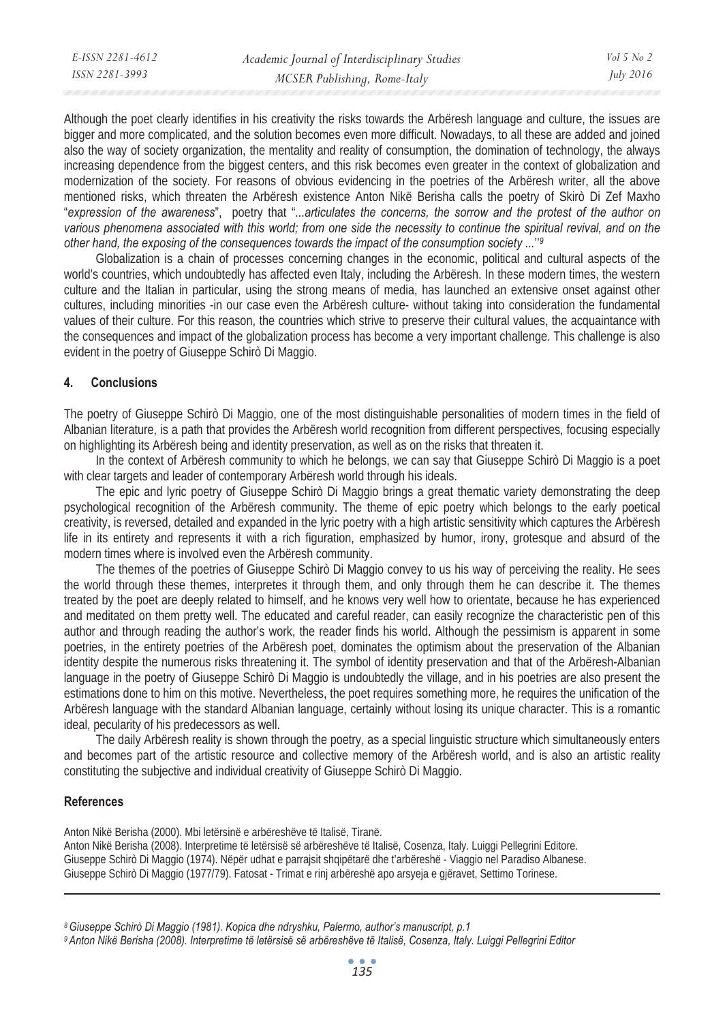| E-ISSN 2281-4612 | Academic Journal of Interdisciplinary Studies | $Vol_5$ No 2     |
|------------------|-----------------------------------------------|------------------|
| ISSN 2281-3993   | MCSER Publishing, Rome-Italy                  | <i>July 2016</i> |

Although the poet clearly identifies in his creativity the risks towards the Arbëresh language and culture, the issues are bigger and more complicated, and the solution becomes even more difficult. Nowadays, to all these are added and joined also the way of society organization, the mentality and reality of consumption, the domination of technology, the always increasing dependence from the biggest centers, and this risk becomes even greater in the context of globalization and modernization of the society. For reasons of obvious evidencing in the poetries of the Arbëresh writer, all the above mentioned risks, which threaten the Arbëresh existence Anton Nikë Berisha calls the poetry of Skirò Di Zef Maxho "*expression of the awareness*", poetry that "*...articulates the concerns, the sorrow and the protest of the author on*  various phenomena associated with this world; from one side the necessity to continue the spiritual revival, and on the *other hand, the exposing of the consequences towards the impact of the consumption society ...*''*<sup>9</sup>*

Globalization is a chain of processes concerning changes in the economic, political and cultural aspects of the world's countries, which undoubtedly has affected even Italy, including the Arbëresh. In these modern times, the western culture and the Italian in particular, using the strong means of media, has launched an extensive onset against other cultures, including minorities -in our case even the Arbëresh culture- without taking into consideration the fundamental values of their culture. For this reason, the countries which strive to preserve their cultural values, the acquaintance with the consequences and impact of the globalization process has become a very important challenge. This challenge is also evident in the poetry of Giuseppe Schirò Di Maggio.

#### **4. Conclusions**

The poetry of Giuseppe Schirò Di Maggio, one of the most distinguishable personalities of modern times in the field of Albanian literature, is a path that provides the Arbëresh world recognition from different perspectives, focusing especially on highlighting its Arbëresh being and identity preservation, as well as on the risks that threaten it.

In the context of Arbëresh community to which he belongs, we can say that Giuseppe Schirò Di Maggio is a poet with clear targets and leader of contemporary Arbëresh world through his ideals.

The epic and lyric poetry of Giuseppe Schirò Di Maggio brings a great thematic variety demonstrating the deep psychological recognition of the Arbëresh community. The theme of epic poetry which belongs to the early poetical creativity, is reversed, detailed and expanded in the lyric poetry with a high artistic sensitivity which captures the Arbëresh life in its entirety and represents it with a rich figuration, emphasized by humor, irony, grotesque and absurd of the modern times where is involved even the Arbëresh community.

The themes of the poetries of Giuseppe Schirò Di Maggio convey to us his way of perceiving the reality. He sees the world through these themes, interpretes it through them, and only through them he can describe it. The themes treated by the poet are deeply related to himself, and he knows very well how to orientate, because he has experienced and meditated on them pretty well. The educated and careful reader, can easily recognize the characteristic pen of this author and through reading the author's work, the reader finds his world. Although the pessimism is apparent in some poetries, in the entirety poetries of the Arbëresh poet, dominates the optimism about the preservation of the Albanian identity despite the numerous risks threatening it. The symbol of identity preservation and that of the Arbëresh-Albanian language in the poetry of Giuseppe Schirò Di Maggio is undoubtedly the village, and in his poetries are also present the estimations done to him on this motive. Nevertheless, the poet requires something more, he requires the unification of the Arbëresh language with the standard Albanian language, certainly without losing its unique character. This is a romantic ideal, pecularity of his predecessors as well.

The daily Arbëresh reality is shown through the poetry, as a special linguistic structure which simultaneously enters and becomes part of the artistic resource and collective memory of the Arbëresh world, and is also an artistic reality constituting the subjective and individual creativity of Giuseppe Schirò Di Maggio.

#### **References**

 $\overline{a}$ 

Anton Nikë Berisha (2000). Mbi letërsinë e arbëreshëve të Italisë, Tiranë. Anton Nikë Berisha (2008). Interpretime të letërsisë së arbëreshëve të Italisë, Cosenza, Italy. Luiggi Pellegrini Editore. Giuseppe Schirò Di Maggio (1974). Nëpër udhat e parrajsit shqipëtarë dhe t'arbëreshë - Viaggio nel Paradiso Albanese. Giuseppe Schirò Di Maggio (1977/79). Fatosat - Trimat e rinj arbëreshë apo arsyeja e gjëravet, Settimo Torinese.

*8 Giuseppe Schirò Di Maggio (1981). Kopica dhe ndryshku, Palermo, author's manuscript, p.1* 

*9 Anton Nikë Berisha (2008). Interpretime të letërsisë së arbëreshëve të Italisë, Cosenza, Italy. Luiggi Pellegrini Editor*